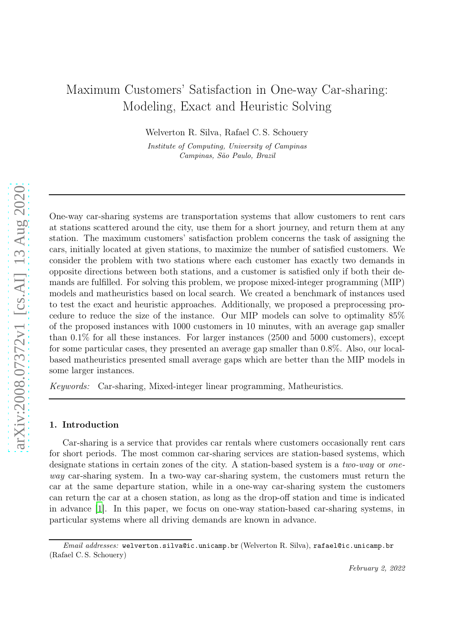# Maximum Customers' Satisfaction in One-way Car-sharing: Modeling, Exact and Heuristic Solving

Welverton R. Silva, Rafael C. S. Schouery

Institute of Computing, University of Campinas Campinas, São Paulo, Brazil

One-way car-sharing systems are transportation systems that allow customers to rent cars at stations scattered around the city, use them for a short journey, and return them at any station. The maximum customers' satisfaction problem concerns the task of assigning the cars, initially located at given stations, to maximize the number of satisfied customers. We consider the problem with two stations where each customer has exactly two demands in opposite directions between both stations, and a customer is satisfied only if both their demands are fulfilled. For solving this problem, we propose mixed-integer programming (MIP) models and matheuristics based on local search. We created a benchmark of instances used to test the exact and heuristic approaches. Additionally, we proposed a preprocessing procedure to reduce the size of the instance. Our MIP models can solve to optimality 85% of the proposed instances with 1000 customers in 10 minutes, with an average gap smaller than 0.1% for all these instances. For larger instances (2500 and 5000 customers), except for some particular cases, they presented an average gap smaller than 0.8%. Also, our localbased matheuristics presented small average gaps which are better than the MIP models in some larger instances.

*Keywords:* Car-sharing, Mixed-integer linear programming, Matheuristics.

#### 1. Introduction

Car-sharing is a service that provides car rentals where customers occasionally rent cars for short periods. The most common car-sharing services are station-based systems, which designate stations in certain zones of the city. A station-based system is a *two-way* or *oneway* car-sharing system. In a two-way car-sharing system, the customers must return the car at the same departure station, while in a one-way car-sharing system the customers can return the car at a chosen station, as long as the drop-off station and time is indicated in advance [\[1\]](#page-17-0). In this paper, we focus on one-way station-based car-sharing systems, in particular systems where all driving demands are known in advance.

Email addresses: welverton.silva@ic.unicamp.br (Welverton R. Silva), rafael@ic.unicamp.br (Rafael C. S. Schouery)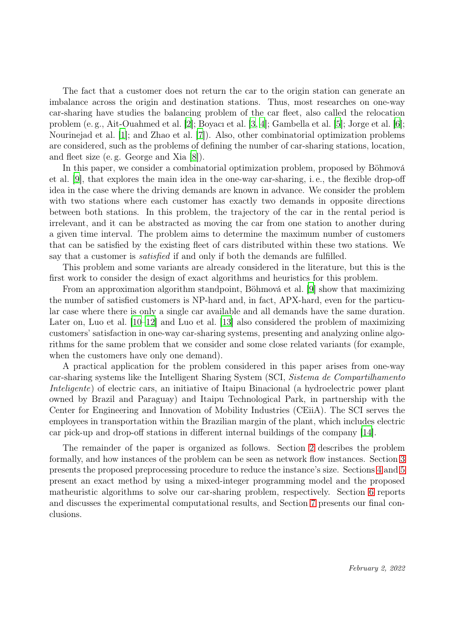The fact that a customer does not return the car to the origin station can generate an imbalance across the origin and destination stations. Thus, most researches on one-way car-sharing have studies the balancing problem of the car fleet, also called the relocation problem (e. g., Ait-Ouahmed et al. [\[2](#page-17-1)]; Boyacı et al. [\[3,](#page-17-2) [4](#page-17-3)]; Gambella et al. [\[5](#page-17-4)]; Jorge et al. [\[6](#page-17-5)]; Nourinejad et al. [\[1](#page-17-0)]; and Zhao et al. [\[7\]](#page-17-6)). Also, other combinatorial optimization problems are considered, such as the problems of defining the number of car-sharing stations, location, and fleet size (e. g. George and Xia [\[8](#page-17-7)]).

In this paper, we consider a combinatorial optimization problem, proposed by Böhmová et al. [\[9](#page-17-8)], that explores the main idea in the one-way car-sharing, i. e., the flexible drop-off idea in the case where the driving demands are known in advance. We consider the problem with two stations where each customer has exactly two demands in opposite directions between both stations. In this problem, the trajectory of the car in the rental period is irrelevant, and it can be abstracted as moving the car from one station to another during a given time interval. The problem aims to determine the maximum number of customers that can be satisfied by the existing fleet of cars distributed within these two stations. We say that a customer is *satisfied* if and only if both the demands are fulfilled.

This problem and some variants are already considered in the literature, but this is the first work to consider the design of exact algorithms and heuristics for this problem.

From an approximation algorithm standpoint, Böhmová et al. [\[9\]](#page-17-8) show that maximizing the number of satisfied customers is NP-hard and, in fact, APX-hard, even for the particular case where there is only a single car available and all demands have the same duration. Later on, Luo et al. [\[10](#page-17-9)[–12](#page-17-10)] and Luo et al. [\[13\]](#page-18-0) also considered the problem of maximizing customers' satisfaction in one-way car-sharing systems, presenting and analyzing online algorithms for the same problem that we consider and some close related variants (for example, when the customers have only one demand).

A practical application for the problem considered in this paper arises from one-way car-sharing systems like the Intelligent Sharing System (SCI, *Sistema de Compartilhamento Inteligente*) of electric cars, an initiative of Itaipu Binacional (a hydroelectric power plant owned by Brazil and Paraguay) and Itaipu Technological Park, in partnership with the Center for Engineering and Innovation of Mobility Industries (CEiiA). The SCI serves the employees in transportation within the Brazilian margin of the plant, which includes electric car pick-up and drop-off stations in different internal buildings of the company [\[14\]](#page-18-1).

The remainder of the paper is organized as follows. Section [2](#page-2-0) describes the problem formally, and how instances of the problem can be seen as network flow instances. Section [3](#page-3-0) presents the proposed preprocessing procedure to reduce the instance's size. Sections [4](#page-4-0) and [5](#page-6-0) present an exact method by using a mixed-integer programming model and the proposed matheuristic algorithms to solve our car-sharing problem, respectively. Section [6](#page-11-0) reports and discusses the experimental computational results, and Section [7](#page-15-0) presents our final conclusions.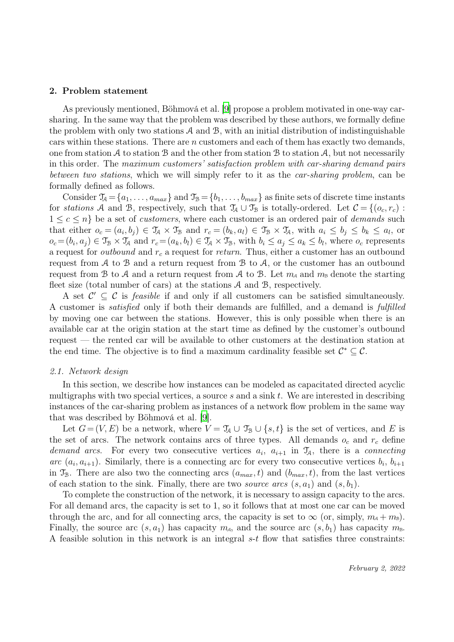#### <span id="page-2-0"></span>2. Problem statement

As previously mentioned, Böhmová et al. [\[9\]](#page-17-8) propose a problem motivated in one-way carsharing. In the same way that the problem was described by these authors, we formally define the problem with only two stations  $A$  and  $B$ , with an initial distribution of indistinguishable cars within these stations. There are  $n$  customers and each of them has exactly two demands, one from station  $\mathcal A$  to station  $\mathcal B$  and the other from station  $\mathcal B$  to station  $\mathcal A$ , but not necessarily in this order. The *maximum customers' satisfaction problem with car-sharing demand pairs between two stations*, which we will simply refer to it as the *car-sharing problem*, can be formally defined as follows.

Consider  $\mathcal{T}_A = \{a_1, \ldots, a_{max}\}\$  and  $\mathcal{T}_B = \{b_1, \ldots, b_{max}\}\$  as finite sets of discrete time instants for *stations* A and B, respectively, such that  $\mathcal{T}_A \cup \mathcal{T}_B$  is totally-ordered. Let  $\mathcal{C} = \{ (o_c, r_c) :$  $1 \leq c \leq n$  be a set of *customers*, where each customer is an ordered pair of *demands* such that either  $o_c = (a_i, b_j) \in \mathcal{T}_A \times \mathcal{T}_B$  and  $r_c = (b_k, a_l) \in \mathcal{T}_B \times \mathcal{T}_A$ , with  $a_i \leq b_j \leq b_k \leq a_l$ , or  $o_c = (b_i, a_j) \in \mathfrak{T}_{\mathcal{B}} \times \mathfrak{T}_{\mathcal{A}}$  and  $r_c = (a_k, b_l) \in \mathfrak{T}_{\mathcal{A}} \times \mathfrak{T}_{\mathcal{B}}$ , with  $b_i \leq a_j \leq a_k \leq b_l$ , where  $o_c$  represents a request for *outbound* and  $r_c$  a request for *return*. Thus, either a customer has an outbound request from  $A$  to  $B$  and a return request from  $B$  to  $A$ , or the customer has an outbound request from B to A and a return request from A to B. Let  $m_A$  and  $m_B$  denote the starting fleet size (total number of cars) at the stations A and B, respectively.

A set  $\mathcal{C}' \subseteq \mathcal{C}$  is *feasible* if and only if all customers can be satisfied simultaneously. A customer is *satisfied* only if both their demands are fulfilled, and a demand is *fulfilled* by moving one car between the stations. However, this is only possible when there is an available car at the origin station at the start time as defined by the customer's outbound request — the rented car will be available to other customers at the destination station at the end time. The objective is to find a maximum cardinality feasible set  $\mathcal{C}^* \subseteq \mathcal{C}$ .

#### *2.1. Network design*

In this section, we describe how instances can be modeled as capacitated directed acyclic multigraphs with two special vertices, a source  $s$  and a sink  $t$ . We are interested in describing instances of the car-sharing problem as instances of a network flow problem in the same way that was described by Böhmová et al. [\[9](#page-17-8)].

Let  $G = (V, E)$  be a network, where  $V = \mathcal{T}_A \cup \mathcal{T}_B \cup \{s, t\}$  is the set of vertices, and E is the set of arcs. The network contains arcs of three types. All demands  $o_c$  and  $r_c$  define demand arcs. For every two consecutive vertices  $a_i$ ,  $a_{i+1}$  in  $\mathcal{T}_A$ , there is a *connecting* arc  $(a_i, a_{i+1})$ . Similarly, there is a connecting arc for every two consecutive vertices  $b_i, b_{i+1}$ in  $\mathcal{T}_{\mathcal{B}}$ . There are also two the connecting arcs  $(a_{max}, t)$  and  $(b_{max}, t)$ , from the last vertices of each station to the sink. Finally, there are two *source arcs*  $(s, a_1)$  and  $(s, b_1)$ .

To complete the construction of the network, it is necessary to assign capacity to the arcs. For all demand arcs, the capacity is set to 1, so it follows that at most one car can be moved through the arc, and for all connecting arcs, the capacity is set to  $\infty$  (or, simply,  $m_A + m_B$ ). Finally, the source arc  $(s, a_1)$  has capacity  $m_A$ , and the source arc  $(s, b_1)$  has capacity  $m_B$ . A feasible solution in this network is an integral s-t flow that satisfies three constraints: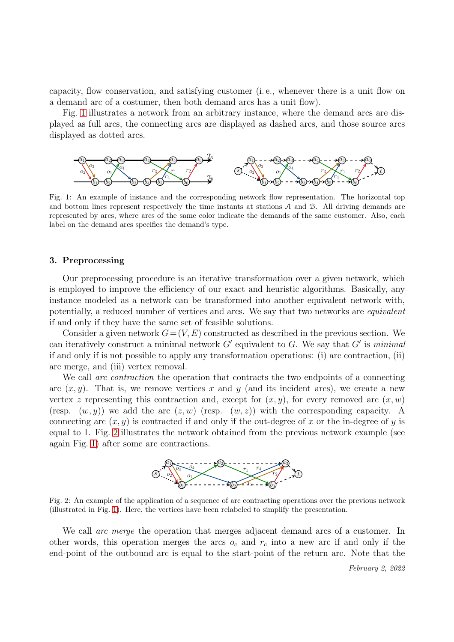capacity, flow conservation, and satisfying customer (i. e., whenever there is a unit flow on a demand arc of a costumer, then both demand arcs has a unit flow).

Fig. [1](#page-3-1) illustrates a network from an arbitrary instance, where the demand arcs are displayed as full arcs, the connecting arcs are displayed as dashed arcs, and those source arcs displayed as dotted arcs.

<span id="page-3-1"></span>

Fig. 1: An example of instance and the corresponding network flow representation. The horizontal top and bottom lines represent respectively the time instants at stations  $A$  and  $B$ . All driving demands are represented by arcs, where arcs of the same color indicate the demands of the same customer. Also, each label on the demand arcs specifies the demand's type.

#### <span id="page-3-0"></span>3. Preprocessing

Our preprocessing procedure is an iterative transformation over a given network, which is employed to improve the efficiency of our exact and heuristic algorithms. Basically, any instance modeled as a network can be transformed into another equivalent network with, potentially, a reduced number of vertices and arcs. We say that two networks are *equivalent* if and only if they have the same set of feasible solutions.

Consider a given network  $G = (V, E)$  constructed as described in the previous section. We can iteratively construct a minimal network G′ equivalent to G. We say that G′ is *minimal* if and only if is not possible to apply any transformation operations: (i) arc contraction, (ii) arc merge, and (iii) vertex removal.

We call *arc contraction* the operation that contracts the two endpoints of a connecting arc  $(x, y)$ . That is, we remove vertices x and y (and its incident arcs), we create a new vertex z representing this contraction and, except for  $(x, y)$ , for every removed arc  $(x, w)$ (resp.  $(w, y)$ ) we add the arc  $(z, w)$  (resp.  $(w, z)$ ) with the corresponding capacity. A connecting arc  $(x, y)$  is contracted if and only if the out-degree of x or the in-degree of y is equal to 1. Fig. [2](#page-3-2) illustrates the network obtained from the previous network example (see again Fig. [1\)](#page-3-1) after some arc contractions.



<span id="page-3-2"></span>Fig. 2: An example of the application of a sequence of arc contracting operations over the previous network (illustrated in Fig. [1\)](#page-3-1). Here, the vertices have been relabeled to simplify the presentation.

We call *arc merge* the operation that merges adjacent demand arcs of a customer. In other words, this operation merges the arcs  $o_c$  and  $r_c$  into a new arc if and only if the end-point of the outbound arc is equal to the start-point of the return arc. Note that the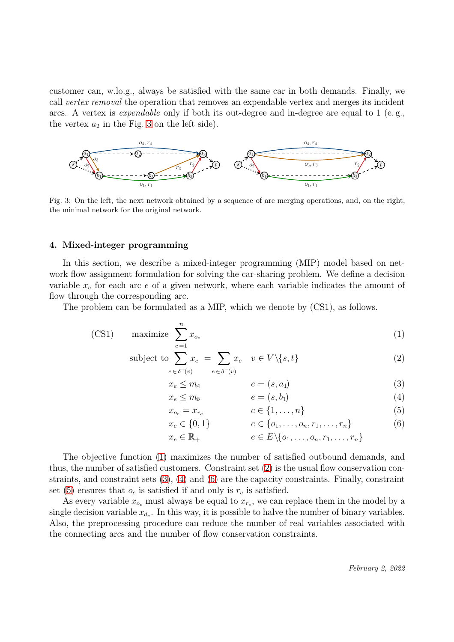customer can, w.lo.g., always be satisfied with the same car in both demands. Finally, we call *vertex removal* the operation that removes an expendable vertex and merges its incident arcs. A vertex is *expendable* only if both its out-degree and in-degree are equal to  $1$  (e.g., the vertex  $a_2$  in the Fig. [3](#page-4-1) on the left side).

<span id="page-4-1"></span>

Fig. 3: On the left, the next network obtained by a sequence of arc merging operations, and, on the right, the minimal network for the original network.

# <span id="page-4-0"></span>4. Mixed-integer programming

In this section, we describe a mixed-integer programming (MIP) model based on network flow assignment formulation for solving the car-sharing problem. We define a decision variable  $x_e$  for each arc  $e$  of a given network, where each variable indicates the amount of flow through the corresponding arc.

The problem can be formulated as a MIP, which we denote by (CS1), as follows.

(CS1) maximize 
$$
\sum_{c=1}^{n} x_{o_c}
$$
 (1)

subject to 
$$
\sum_{e \in \delta^+(v)} x_e = \sum_{e \in \delta^-(v)} x_e \quad v \in V \setminus \{s, t\}
$$
 (2)

$$
x_e \le m_A \qquad \qquad e = (s, a_1) \tag{3}
$$

$$
x_e \le m_\text{B} \qquad \qquad e = (s, b_1) \tag{4}
$$

<span id="page-4-7"></span><span id="page-4-6"></span><span id="page-4-5"></span><span id="page-4-4"></span><span id="page-4-3"></span><span id="page-4-2"></span>
$$
= x_{r_c} \qquad \qquad c \in \{1, \ldots, n\} \tag{5}
$$

$$
x_e \in \{0, 1\} \qquad e \in \{o_1, \dots, o_n, r_1, \dots, r_n\} \tag{6}
$$

$$
x_e \in \mathbb{R}_+ \qquad e \in E \setminus \{o_1, \ldots, o_n, r_1, \ldots, r_n\}
$$

The objective function [\(1\)](#page-4-2) maximizes the number of satisfied outbound demands, and thus, the number of satisfied customers. Constraint set [\(2\)](#page-4-3) is the usual flow conservation constraints, and constraint sets [\(3\)](#page-4-4), [\(4\)](#page-4-5) and [\(6\)](#page-4-6) are the capacity constraints. Finally, constraint set [\(5\)](#page-4-7) ensures that  $o_c$  is satisfied if and only is  $r_c$  is satisfied.

 $x_{o_c}$ 

As every variable  $x_{o_c}$  must always be equal to  $x_{r_c}$ , we can replace them in the model by a single decision variable  $x_{d_c}$ . In this way, it is possible to halve the number of binary variables. Also, the preprocessing procedure can reduce the number of real variables associated with the connecting arcs and the number of flow conservation constraints.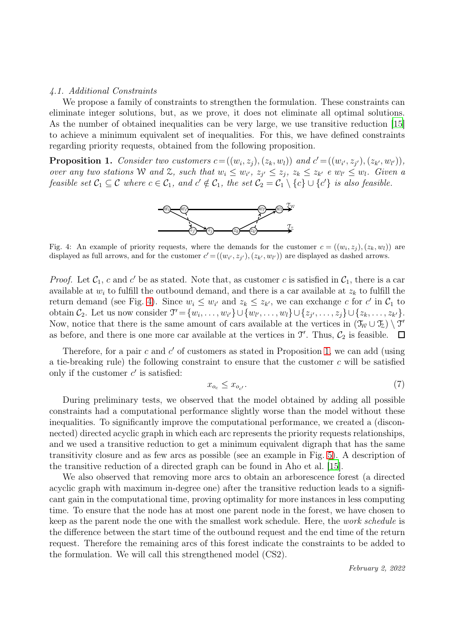#### *4.1. Additional Constraints*

We propose a family of constraints to strengthen the formulation. These constraints can eliminate integer solutions, but, as we prove, it does not eliminate all optimal solutions. As the number of obtained inequalities can be very large, we use transitive reduction [\[15\]](#page-18-2) to achieve a minimum equivalent set of inequalities. For this, we have defined constraints regarding priority requests, obtained from the following proposition.

<span id="page-5-1"></span><span id="page-5-0"></span>**Proposition 1.** Consider two customers  $c = ((w_i, z_j), (z_k, w_l))$  and  $c' = ((w_{i'}, z_{j'}), (z_{k'}, w_{l'}))$ , *over any two stations* W and Z, such that  $w_i \leq w_{i'}$ ,  $z_{j'} \leq z_j$ ,  $z_k \leq z_{k'}$  *e*  $w_{l'} \leq w_l$ . Given a *feasible set*  $C_1 \subseteq C$  *where*  $c \in C_1$ *, and*  $c' \notin C_1$ *, the set*  $C_2 = C_1 \setminus \{c\} \cup \{c'\}$  *is also feasible.* 



Fig. 4: An example of priority requests, where the demands for the customer  $c = ((w_i, z_j), (z_k, w_l))$  are displayed as full arrows, and for the customer  $c' = ((w_{i'}, z_{j'}), (z_{k'}, w_{l'}))$  are displayed as dashed arrows.

*Proof.* Let  $C_1$ , c and c' be as stated. Note that, as customer c is satisfied in  $C_1$ , there is a car available at  $w_i$  to fulfill the outbound demand, and there is a car available at  $z_k$  to fulfill the return demand (see Fig. [4\)](#page-5-0). Since  $w_i \leq w_{i'}$  and  $z_k \leq z_{k'}$ , we can exchange c for c' in  $\mathcal{C}_1$  to obtain  $\mathcal{C}_2$ . Let us now consider  $\mathcal{T}' = \{w_i, \ldots, w_{i'}\} \cup \{w_{l'}, \ldots, w_l\} \cup \{z_{j'}, \ldots, z_j\} \cup \{z_k, \ldots, z_{k'}\}.$ Now, notice that there is the same amount of cars available at the vertices in  $(\mathcal{T}_W \cup \mathcal{T}_Z) \setminus \mathcal{T}'$ as before, and there is one more car available at the vertices in  $\mathcal{T}'$ . Thus,  $\mathcal{C}_2$  is feasible.

Therefore, for a pair  $c$  and  $c'$  of customers as stated in Proposition [1,](#page-5-1) we can add (using a tie-breaking rule) the following constraint to ensure that the customer  $c$  will be satisfied only if the customer  $c'$  is satisfied:

<span id="page-5-2"></span>
$$
x_{o_c} \le x_{o_{c'}}.\tag{7}
$$

During preliminary tests, we observed that the model obtained by adding all possible constraints had a computational performance slightly worse than the model without these inequalities. To significantly improve the computational performance, we created a (disconnected) directed acyclic graph in which each arc represents the priority requests relationships, and we used a transitive reduction to get a minimum equivalent digraph that has the same transitivity closure and as few arcs as possible (see an example in Fig. [5\)](#page-6-1). A description of the transitive reduction of a directed graph can be found in Aho et al. [\[15\]](#page-18-2).

We also observed that removing more arcs to obtain an arborescence forest (a directed acyclic graph with maximum in-degree one) after the transitive reduction leads to a significant gain in the computational time, proving optimality for more instances in less computing time. To ensure that the node has at most one parent node in the forest, we have chosen to keep as the parent node the one with the smallest work schedule. Here, the *work schedule* is the difference between the start time of the outbound request and the end time of the return request. Therefore the remaining arcs of this forest indicate the constraints to be added to the formulation. We will call this strengthened model (CS2).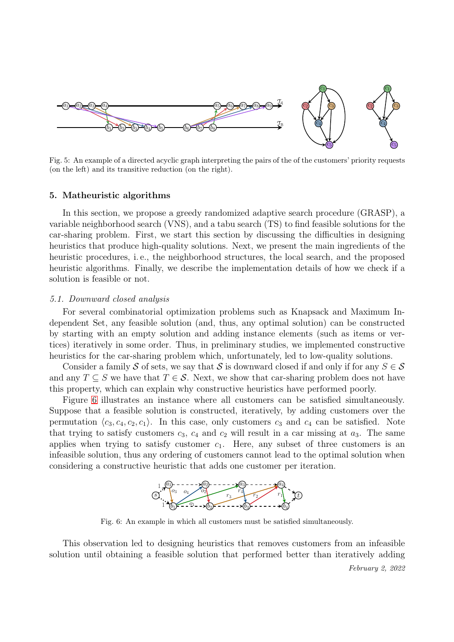<span id="page-6-1"></span>

Fig. 5: An example of a directed acyclic graph interpreting the pairs of the of the customers' priority requests (on the left) and its transitive reduction (on the right).

#### <span id="page-6-0"></span>5. Matheuristic algorithms

In this section, we propose a greedy randomized adaptive search procedure (GRASP), a variable neighborhood search (VNS), and a tabu search (TS) to find feasible solutions for the car-sharing problem. First, we start this section by discussing the difficulties in designing heuristics that produce high-quality solutions. Next, we present the main ingredients of the heuristic procedures, i. e., the neighborhood structures, the local search, and the proposed heuristic algorithms. Finally, we describe the implementation details of how we check if a solution is feasible or not.

#### *5.1. Downward closed analysis*

For several combinatorial optimization problems such as Knapsack and Maximum Independent Set, any feasible solution (and, thus, any optimal solution) can be constructed by starting with an empty solution and adding instance elements (such as items or vertices) iteratively in some order. Thus, in preliminary studies, we implemented constructive heuristics for the car-sharing problem which, unfortunately, led to low-quality solutions.

Consider a family S of sets, we say that S is downward closed if and only if for any  $S \in \mathcal{S}$ and any  $T \subseteq S$  we have that  $T \in S$ . Next, we show that car-sharing problem does not have this property, which can explain why constructive heuristics have performed poorly.

<span id="page-6-2"></span>Figure [6](#page-6-2) illustrates an instance where all customers can be satisfied simultaneously. Suppose that a feasible solution is constructed, iteratively, by adding customers over the permutation  $\langle c_3, c_4, c_2, c_1 \rangle$ . In this case, only customers  $c_3$  and  $c_4$  can be satisfied. Note that trying to satisfy customers  $c_3$ ,  $c_4$  and  $c_2$  will result in a car missing at  $a_3$ . The same applies when trying to satisfy customer  $c_1$ . Here, any subset of three customers is an infeasible solution, thus any ordering of customers cannot lead to the optimal solution when considering a constructive heuristic that adds one customer per iteration.



Fig. 6: An example in which all customers must be satisfied simultaneously.

This observation led to designing heuristics that removes customers from an infeasible solution until obtaining a feasible solution that performed better than iteratively adding

February 2, 2022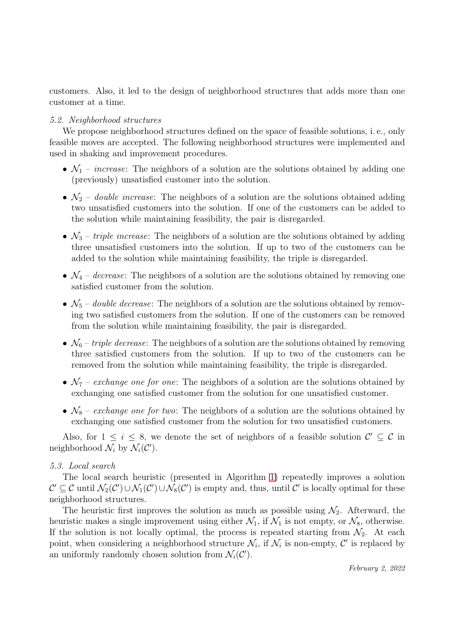customers. Also, it led to the design of neighborhood structures that adds more than one customer at a time.

# *5.2. Neighborhood structures*

We propose neighborhood structures defined on the space of feasible solutions, i. e., only feasible moves are accepted. The following neighborhood structures were implemented and used in shaking and improvement procedures.

- $\mathcal{N}_1$  *increase*: The neighbors of a solution are the solutions obtained by adding one (previously) unsatisfied customer into the solution.
- $\mathcal{N}_2$  *double increase*: The neighbors of a solution are the solutions obtained adding two unsatisfied customers into the solution. If one of the customers can be added to the solution while maintaining feasibility, the pair is disregarded.
- $\mathcal{N}_3$  *triple increase*: The neighbors of a solution are the solutions obtained by adding three unsatisfied customers into the solution. If up to two of the customers can be added to the solution while maintaining feasibility, the triple is disregarded.
- $\mathcal{N}_4$  *decrease*: The neighbors of a solution are the solutions obtained by removing one satisfied customer from the solution.
- $\mathcal{N}_5$  *double decrease*: The neighbors of a solution are the solutions obtained by removing two satisfied customers from the solution. If one of the customers can be removed from the solution while maintaining feasibility, the pair is disregarded.
- $\mathcal{N}_6$  *triple decrease*: The neighbors of a solution are the solutions obtained by removing three satisfied customers from the solution. If up to two of the customers can be removed from the solution while maintaining feasibility, the triple is disregarded.
- $\mathcal{N}_7$  *exchange one for one*: The neighbors of a solution are the solutions obtained by exchanging one satisfied customer from the solution for one unsatisfied customer.
- $\mathcal{N}_8$  exchange one for two: The neighbors of a solution are the solutions obtained by exchanging one satisfied customer from the solution for two unsatisfied customers.

Also, for  $1 \leq i \leq 8$ , we denote the set of neighbors of a feasible solution  $\mathcal{C}' \subseteq \mathcal{C}$  in neighborhood  $\mathcal{N}_i$  by  $\mathcal{N}_i(\mathcal{C}')$ .

# *5.3. Local search*

The local search heuristic (presented in Algorithm [1\)](#page-8-0) repeatedly improves a solution  $\mathcal{C}' \subseteq \mathcal{C}$  until  $\mathcal{N}_2(\mathcal{C}') \cup \mathcal{N}_1(\mathcal{C}') \cup \mathcal{N}_8(\mathcal{C}')$  is empty and, thus, until  $\mathcal{C}'$  is locally optimal for these neighborhood structures.

The heuristic first improves the solution as much as possible using  $\mathcal{N}_2$ . Afterward, the heuristic makes a single improvement using either  $\mathcal{N}_1$ , if  $\mathcal{N}_1$  is not empty, or  $\mathcal{N}_8$ , otherwise. If the solution is not locally optimal, the process is repeated starting from  $\mathcal{N}_2$ . At each point, when considering a neighborhood structure  $\mathcal{N}_i$ , if  $\mathcal{N}_i$  is non-empty,  $\mathcal{C}'$  is replaced by an uniformly randomly chosen solution from  $\mathcal{N}_i(\mathcal{C}')$ .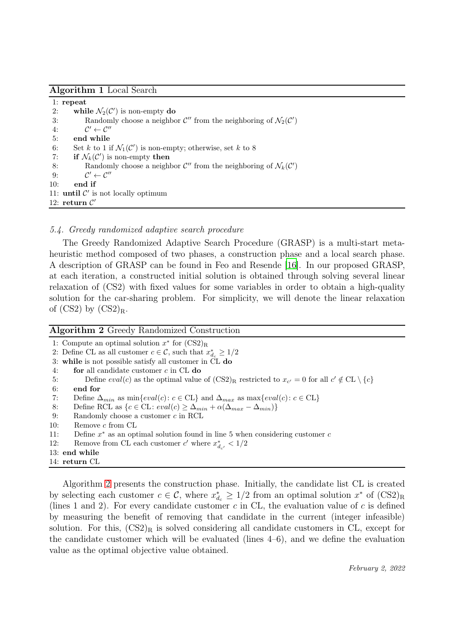<span id="page-8-0"></span>

| Algorithm 1 Local Search |  |  |  |
|--------------------------|--|--|--|
|--------------------------|--|--|--|

1: repeat 2: while  $\mathcal{N}_2(\mathcal{C}')$  is non-empty do 3: Randomly choose a neighbor  $\mathcal{C}''$  from the neighboring of  $\mathcal{N}_2(\mathcal{C}')$  $4:$  $\mathcal{C}' \leftarrow \mathcal{C}''$ 5: end while 6: Set k to 1 if  $\mathcal{N}_1(\mathcal{C}')$  is non-empty; otherwise, set k to 8 7: if  $\mathcal{N}_k(\mathcal{C}')$  is non-empty then 8: Randomly choose a neighbor  $\mathcal{C}''$  from the neighboring of  $\mathcal{N}_k(\mathcal{C}')$  $9:$  $\mathcal{C}' \leftarrow \mathcal{C}''$ 10: end if 11:  $until C'$  is not locally optimum 12: return  $\mathcal{C}'$ 

# *5.4. Greedy randomized adaptive search procedure*

The Greedy Randomized Adaptive Search Procedure (GRASP) is a multi-start metaheuristic method composed of two phases, a construction phase and a local search phase. A description of GRASP can be found in Feo and Resende [\[16](#page-18-3)]. In our proposed GRASP, at each iteration, a constructed initial solution is obtained through solving several linear relaxation of (CS2) with fixed values for some variables in order to obtain a high-quality solution for the car-sharing problem. For simplicity, we will denote the linear relaxation of  $(CS2)$  by  $(CS2)_R$ .

<span id="page-8-1"></span>

| <b>Algorithm 2</b> Greedy Randomized Construction                                                                          |
|----------------------------------------------------------------------------------------------------------------------------|
| 1: Compute an optimal solution $x^*$ for $(CS2)_R$                                                                         |
| 2: Define CL as all customer $c \in \mathcal{C}$ , such that $x_{d_{\alpha}}^* \geq 1/2$                                   |
| 3: while is not possible satisfy all customer in CL do                                                                     |
| for all candidate customer $c$ in $CL$ do<br>4:                                                                            |
| Define $eval(c)$ as the optimal value of $(CS2)_R$ restricted to $x_{c'} = 0$ for all $c' \notin CL \setminus \{c\}$<br>5: |
| end for<br>6:                                                                                                              |
| Define $\Delta_{min}$ as $\min\{eval(c): c \in CL\}$ and $\Delta_{max}$ as $\max\{eval(c): c \in CL\}$<br>7:               |
| Define RCL as $\{c \in CL : eval(c) \geq \Delta_{min} + \alpha(\Delta_{max} - \Delta_{min})\}\$<br>8:                      |
| 9:<br>Randomly choose a customer $c$ in RCL                                                                                |
| 10:<br>Remove $c$ from $CL$                                                                                                |
| 11:<br>Define $x^*$ as an optimal solution found in line 5 when considering customer c                                     |
| 12:<br>Remove from CL each customer c' where $x_d^*$ , $\lt 1/2$                                                           |
| $13:$ end while                                                                                                            |
| $14:$ return $CL$                                                                                                          |

Algorithm [2](#page-8-1) presents the construction phase. Initially, the candidate list CL is created by selecting each customer  $c \in \mathcal{C}$ , where  $x_{d_c}^* \geq 1/2$  from an optimal solution  $x^*$  of  $(\text{CS2})_{\text{R}}$ (lines 1 and 2). For every candidate customer c in CL, the evaluation value of c is defined by measuring the benefit of removing that candidate in the current (integer infeasible) solution. For this,  $(CS2)_R$  is solved considering all candidate customers in CL, except for the candidate customer which will be evaluated (lines  $4-6$ ), and we define the evaluation value as the optimal objective value obtained.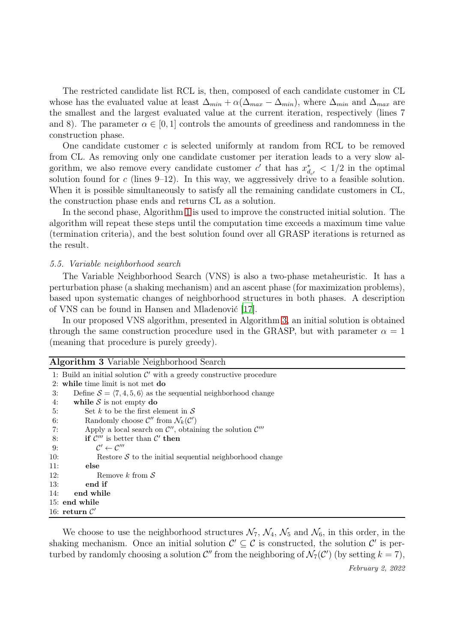The restricted candidate list RCL is, then, composed of each candidate customer in CL whose has the evaluated value at least  $\Delta_{min} + \alpha(\Delta_{max} - \Delta_{min})$ , where  $\Delta_{min}$  and  $\Delta_{max}$  are the smallest and the largest evaluated value at the current iteration, respectively (lines 7 and 8). The parameter  $\alpha \in [0, 1]$  controls the amounts of greediness and randomness in the construction phase.

One candidate customer  $c$  is selected uniformly at random from RCL to be removed from CL. As removing only one candidate customer per iteration leads to a very slow algorithm, we also remove every candidate customer  $c'$  that has  $x_d^*$  $\frac{d}{d_{c'}} < 1/2$  in the optimal solution found for c (lines  $9-12$ ). In this way, we aggressively drive to a feasible solution. When it is possible simultaneously to satisfy all the remaining candidate customers in CL, the construction phase ends and returns CL as a solution.

In the second phase, Algorithm [1](#page-8-0) is used to improve the constructed initial solution. The algorithm will repeat these steps until the computation time exceeds a maximum time value (termination criteria), and the best solution found over all GRASP iterations is returned as the result.

#### *5.5. Variable neighborhood search*

The Variable Neighborhood Search (VNS) is also a two-phase metaheuristic. It has a perturbation phase (a shaking mechanism) and an ascent phase (for maximization problems), based upon systematic changes of neighborhood structures in both phases. A description of VNS can be found in Hansen and Mladenović [\[17\]](#page-18-4).

In our proposed VNS algorithm, presented in Algorithm [3,](#page-9-0) an initial solution is obtained through the same construction procedure used in the GRASP, but with parameter  $\alpha = 1$ (meaning that procedure is purely greedy).

<span id="page-9-0"></span>

| <b>Algorithm 3</b> Variable Neighborhood Search                                         |
|-----------------------------------------------------------------------------------------|
| 1: Build an initial solution $\mathcal{C}'$ with a greedy constructive procedure        |
| 2: while time limit is not met $d\mathbf{o}$                                            |
| Define $S = \langle 7, 4, 5, 6 \rangle$ as the sequential neighborhood change<br>3:     |
| while $S$ is not empty do<br>4:                                                         |
| Set k to be the first element in $S$<br>5:                                              |
| Randomly choose $\mathcal{C}''$ from $\mathcal{N}_k(\mathcal{C}')$<br>6:                |
| Apply a local search on $\mathcal{C}''$ , obtaining the solution $\mathcal{C}'''$<br>7: |
| if $\mathcal{C}'''$ is better than $\mathcal{C}'$ then<br>8:                            |
| $\mathcal{C}' \leftarrow \mathcal{C}'''$<br>9:                                          |
| 10:<br>Restore $S$ to the initial sequential neighborhood change                        |
| 11:<br>else                                                                             |
| 12:<br>Remove k from $S$                                                                |
| 13:<br>end if                                                                           |
| 14:<br>end while                                                                        |
| 15: end while                                                                           |
| 16: return $\mathcal{C}'$                                                               |

We choose to use the neighborhood structures  $\mathcal{N}_7$ ,  $\mathcal{N}_4$ ,  $\mathcal{N}_5$  and  $\mathcal{N}_6$ , in this order, in the shaking mechanism. Once an initial solution  $\mathcal{C}' \subseteq \mathcal{C}$  is constructed, the solution  $\mathcal{C}'$  is perturbed by randomly choosing a solution  $\mathcal{C}''$  from the neighboring of  $\mathcal{N}_7(\mathcal{C}')$  (by setting  $k = 7$ ),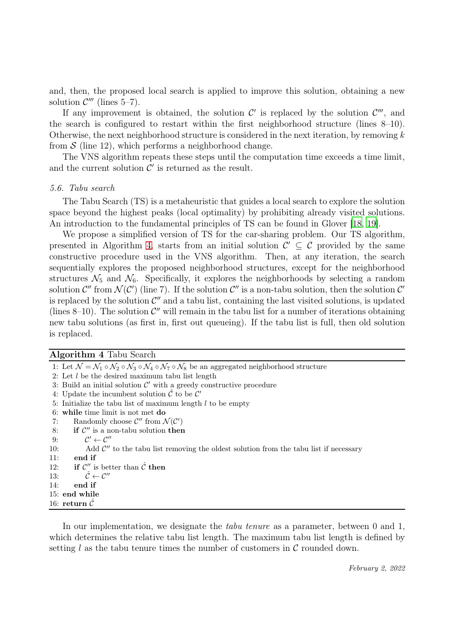and, then, the proposed local search is applied to improve this solution, obtaining a new solution  $\mathcal{C}'''$  (lines 5-7).

If any improvement is obtained, the solution  $\mathcal{C}'$  is replaced by the solution  $\mathcal{C}'''$ , and the search is configured to restart within the first neighborhood structure (lines 8–10). Otherwise, the next neighborhood structure is considered in the next iteration, by removing  $k$ from  $S$  (line 12), which performs a neighborhood change.

The VNS algorithm repeats these steps until the computation time exceeds a time limit, and the current solution  $\mathcal{C}'$  is returned as the result.

#### *5.6. Tabu search*

The Tabu Search (TS) is a metaheuristic that guides a local search to explore the solution space beyond the highest peaks (local optimality) by prohibiting already visited solutions. An introduction to the fundamental principles of TS can be found in Glover [\[18,](#page-18-5) [19\]](#page-18-6).

We propose a simplified version of TS for the car-sharing problem. Our TS algorithm, presented in Algorithm [4,](#page-10-0) starts from an initial solution  $\mathcal{C}' \subseteq \mathcal{C}$  provided by the same constructive procedure used in the VNS algorithm. Then, at any iteration, the search sequentially explores the proposed neighborhood structures, except for the neighborhood structures  $\mathcal{N}_5$  and  $\mathcal{N}_6$ . Specifically, it explores the neighborhoods by selecting a random solution  $\mathcal{C}''$  from  $\mathcal{N}(\mathcal{C}')$  (line 7). If the solution  $\mathcal{C}''$  is a non-tabu solution, then the solution  $\mathcal{C}'$ is replaced by the solution  $\mathcal{C}''$  and a tabu list, containing the last visited solutions, is updated (lines  $8-10$ ). The solution  $\mathcal{C}''$  will remain in the tabu list for a number of iterations obtaining new tabu solutions (as first in, first out queueing). If the tabu list is full, then old solution is replaced.

<span id="page-10-0"></span>

| Algorithm 4 Tabu Search |  |  |  |
|-------------------------|--|--|--|
|-------------------------|--|--|--|

| 1: Let $\mathcal{N} = \mathcal{N}_1 \circ \mathcal{N}_2 \circ \mathcal{N}_3 \circ \mathcal{N}_4 \circ \mathcal{N}_7 \circ \mathcal{N}_8$ be an aggregated neighborhood structure |
|----------------------------------------------------------------------------------------------------------------------------------------------------------------------------------|
| 2: Let $l$ be the desired maximum tabulist length                                                                                                                                |
| 3: Build an initial solution $\mathcal{C}'$ with a greedy constructive procedure                                                                                                 |
| 4: Update the incumbent solution $\hat{\mathcal{C}}$ to be $\mathcal{C}'$                                                                                                        |
| 5: Initialize the tabulist of maximum length $l$ to be empty                                                                                                                     |
| 6: while time limit is not met do                                                                                                                                                |
| Randomly choose $\mathcal{C}''$ from $\mathcal{N}(\mathcal{C}')$                                                                                                                 |
| if $\mathcal{C}''$ is a non-tabu solution then                                                                                                                                   |
| $\mathcal{C}' \leftarrow \mathcal{C}''$                                                                                                                                          |
| Add $\mathcal{C}''$ to the tabu list removing the oldest solution from the tabu list if necessary                                                                                |
| end if                                                                                                                                                                           |
| 12:<br>if $\mathcal{C}''$ is better than $\hat{\mathcal{C}}$ then                                                                                                                |
| $\hat{\mathcal{C}} \leftarrow \mathcal{C}''$                                                                                                                                     |
| end if                                                                                                                                                                           |
| 15: end while                                                                                                                                                                    |
| $16: \ \textbf{return} \ \hat{\mathcal{C}}$                                                                                                                                      |
| 13:                                                                                                                                                                              |

In our implementation, we designate the *tabu tenure* as a parameter, between 0 and 1, which determines the relative tabu list length. The maximum tabu list length is defined by setting l as the tabu tenure times the number of customers in  $\mathcal C$  rounded down.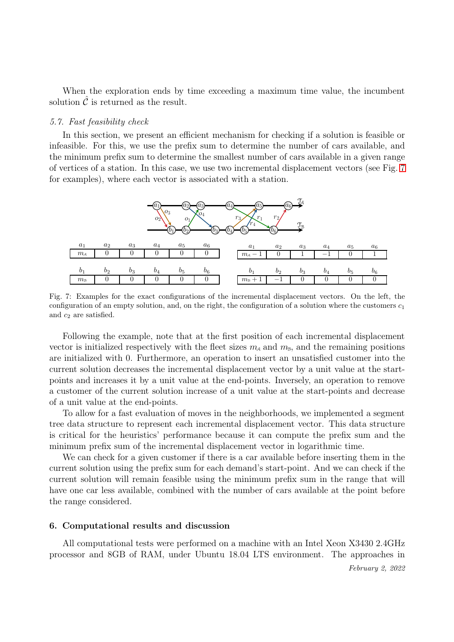When the exploration ends by time exceeding a maximum time value, the incumbent solution  $\mathcal C$  is returned as the result.

#### *5.7. Fast feasibility check*

In this section, we present an efficient mechanism for checking if a solution is feasible or infeasible. For this, we use the prefix sum to determine the number of cars available, and the minimum prefix sum to determine the smallest number of cars available in a given range of vertices of a station. In this case, we use two incremental displacement vectors (see Fig. [7](#page-11-1) for examples), where each vector is associated with a station.

<span id="page-11-1"></span>

Fig. 7: Examples for the exact configurations of the incremental displacement vectors. On the left, the configuration of an empty solution, and, on the right, the configuration of a solution where the customers  $c_1$ and  $c_2$  are satisfied.

Following the example, note that at the first position of each incremental displacement vector is initialized respectively with the fleet sizes  $m_A$  and  $m_B$ , and the remaining positions are initialized with 0. Furthermore, an operation to insert an unsatisfied customer into the current solution decreases the incremental displacement vector by a unit value at the startpoints and increases it by a unit value at the end-points. Inversely, an operation to remove a customer of the current solution increase of a unit value at the start-points and decrease of a unit value at the end-points.

To allow for a fast evaluation of moves in the neighborhoods, we implemented a segment tree data structure to represent each incremental displacement vector. This data structure is critical for the heuristics' performance because it can compute the prefix sum and the minimum prefix sum of the incremental displacement vector in logarithmic time.

We can check for a given customer if there is a car available before inserting them in the current solution using the prefix sum for each demand's start-point. And we can check if the current solution will remain feasible using the minimum prefix sum in the range that will have one car less available, combined with the number of cars available at the point before the range considered.

#### <span id="page-11-0"></span>6. Computational results and discussion

All computational tests were performed on a machine with an Intel Xeon X3430 2.4GHz processor and 8GB of RAM, under Ubuntu 18.04 LTS environment. The approaches in

February 2, 2022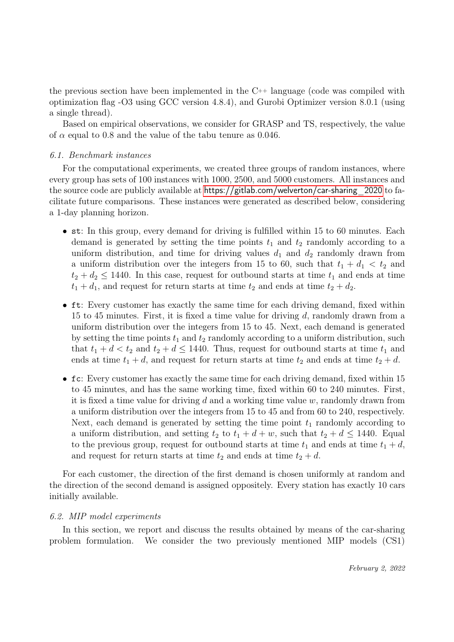the previous section have been implemented in the  $C_{++}$  language (code was compiled with optimization flag -O3 using GCC version 4.8.4), and Gurobi Optimizer version 8.0.1 (using a single thread).

Based on empirical observations, we consider for GRASP and TS, respectively, the value of  $\alpha$  equal to 0.8 and the value of the tabu tenure as 0.046.

### *6.1. Benchmark instances*

For the computational experiments, we created three groups of random instances, where every group has sets of 100 instances with 1000, 2500, and 5000 customers. All instances and the source code are publicly available at https://gitlab.com/welverton/car-sharing\_2020 to facilitate future comparisons. These instances were generated as described below, considering a 1-day planning horizon.

- st: In this group, every demand for driving is fulfilled within 15 to 60 minutes. Each demand is generated by setting the time points  $t_1$  and  $t_2$  randomly according to a uniform distribution, and time for driving values  $d_1$  and  $d_2$  randomly drawn from a uniform distribution over the integers from 15 to 60, such that  $t_1 + d_1 < t_2$  and  $t_2 + d_2 \leq 1440$ . In this case, request for outbound starts at time  $t_1$  and ends at time  $t_1 + d_1$ , and request for return starts at time  $t_2$  and ends at time  $t_2 + d_2$ .
- ft: Every customer has exactly the same time for each driving demand, fixed within 15 to 45 minutes. First, it is fixed a time value for driving  $d$ , randomly drawn from a uniform distribution over the integers from 15 to 45. Next, each demand is generated by setting the time points  $t_1$  and  $t_2$  randomly according to a uniform distribution, such that  $t_1 + d < t_2$  and  $t_2 + d \le 1440$ . Thus, request for outbound starts at time  $t_1$  and ends at time  $t_1 + d$ , and request for return starts at time  $t_2$  and ends at time  $t_2 + d$ .
- fc: Every customer has exactly the same time for each driving demand, fixed within 15 to 45 minutes, and has the same working time, fixed within 60 to 240 minutes. First, it is fixed a time value for driving d and a working time value  $w$ , randomly drawn from a uniform distribution over the integers from 15 to 45 and from 60 to 240, respectively. Next, each demand is generated by setting the time point  $t_1$  randomly according to a uniform distribution, and setting  $t_2$  to  $t_1 + d + w$ , such that  $t_2 + d \le 1440$ . Equal to the previous group, request for outbound starts at time  $t_1$  and ends at time  $t_1 + d$ , and request for return starts at time  $t_2$  and ends at time  $t_2 + d$ .

For each customer, the direction of the first demand is chosen uniformly at random and the direction of the second demand is assigned oppositely. Every station has exactly 10 cars initially available.

## *6.2. MIP model experiments*

In this section, we report and discuss the results obtained by means of the car-sharing problem formulation. We consider the two previously mentioned MIP models (CS1)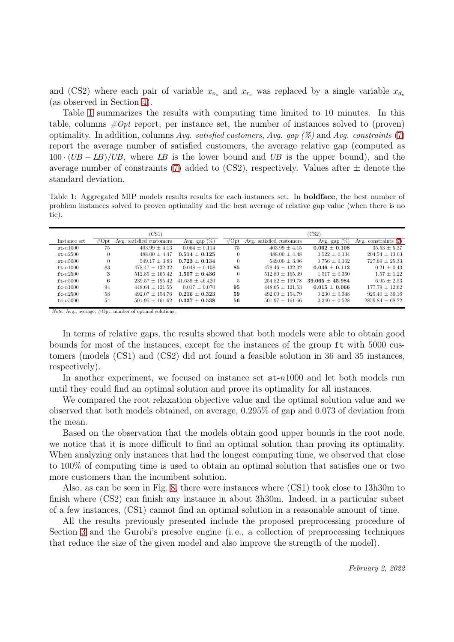and (CS2) where each pair of variable  $x_{o_c}$  and  $x_{r_c}$  was replaced by a single variable  $x_{d_c}$ (as observed in Section [4\)](#page-4-0).

Table [1](#page-13-0) summarizes the results with computing time limited to 10 minutes. In this table, columns  $\#Opt$  report, per instance set, the number of instances solved to (proven) optimality. In addition, columns Avg. satisfied customers, Avg. gap  $(\%)$  and Avg. constraints [\(7\)](#page-5-2) report the average number of satisfied customers, the average relative gap (computed as  $100 \cdot (UB - LB)/UB$ , where LB is the lower bound and UB is the upper bound), and the average number of constraints [\(7\)](#page-5-2) added to  $(CS2)$ , respectively. Values after  $\pm$  denote the standard deviation.

<span id="page-13-0"></span>Table 1: Aggregated MIP models results results for each instances set. In boldface, the best number of problem instances solved to proven optimality and the best average of relative gap value (when there is no tie).

|              |          | CS1)                     |                   |          |                          | CS2               |                        |
|--------------|----------|--------------------------|-------------------|----------|--------------------------|-------------------|------------------------|
| Instance set | #Opt     | Avg. satisfied customers | Avg. gap $(\%)$   | #Opt     | Avg. satisfied customers | 96<br>Avg. $gap$  | Avg. constraints $(7)$ |
| $st-n1000$   | 75       | $403.99 \pm 4.13$        | $0.064 \pm 0.114$ | 75       | $403.99 \pm 4.15$        | $0.062 \pm 0.108$ | $35.53 \pm 5.37$       |
| $st-n2500$   | $\Omega$ | $488.00 \pm 4.47$        | $0.514 + 0.125$   |          | $488.00 + 4.48$          | $0.522 + 0.134$   | $204.54 \pm 13.03$     |
| $st - n5000$ | $\theta$ | $549.17 + 3.83$          | $0.723 + 0.134$   |          | $549.00 \pm 3.96$        | $0.756 + 0.162$   | $727.69 \pm 25.33$     |
| $ft-n1000$   | 83       | $478.47 + 132.32$        | $0.048 + 0.108$   | 85       | $478.46 + 132.32$        | $0.046 + 0.112$   | $0.21 + 0.43$          |
| $ft - n2500$ | 3        | $512.85 \pm 165.42$      | $1.507 + 0.436$   | $\left($ | $512.80 \pm 165.39$      | $1.517 + 0.360$   | $1.57 + 1.22$          |
| $ft - n5000$ | 6        | $239.57 \pm 195.42$      | $41.639 + 46.420$ | 5        | $254.82 \pm 199.78$      | $39.065 + 45.984$ | $6.95 + 2.53$          |
| $fc-n1000$   | 94       | $448.64 + 121.55$        | $0.017 + 0.070$   | 95       | $448.65 + 121.53$        | $0.015 + 0.066$   | $177.79 + 12.62$       |
| $fc-n2500$   | 58       | $492.07 + 154.76$        | $0.216 + 0.323$   | 59       | $492.00 + 154.79$        | $0.230 + 0.348$   | $929.40 \pm 36.16$     |
| $fc-n5000$   | 54       | $501.95 + 161.62$        | $0.337 + 0.538$   | 56       | $501.97 \pm 161.66$      | $0.340 \pm 0.528$ | $2859.84 \pm 68.22$    |

Note. Avg., average; #Opt, number of optimal solutions.

In terms of relative gaps, the results showed that both models were able to obtain good bounds for most of the instances, except for the instances of the group ft with 5000 customers (models (CS1) and (CS2) did not found a feasible solution in 36 and 35 instances, respectively).

In another experiment, we focused on instance set st-n1000 and let both models run until they could find an optimal solution and prove its optimality for all instances.

We compared the root relaxation objective value and the optimal solution value and we observed that both models obtained, on average, 0.295% of gap and 0.073 of deviation from the mean.

Based on the observation that the models obtain good upper bounds in the root node, we notice that it is more difficult to find an optimal solution than proving its optimality. When analyzing only instances that had the longest computing time, we observed that close to 100% of computing time is used to obtain an optimal solution that satisfies one or two more customers than the incumbent solution.

Also, as can be seen in Fig. [8,](#page-14-0) there were instances where (CS1) took close to 13h30m to finish where (CS2) can finish any instance in about 3h30m. Indeed, in a particular subset of a few instances, (CS1) cannot find an optimal solution in a reasonable amount of time.

All the results previously presented include the proposed preprocessing procedure of Section [3](#page-3-0) and the Gurobi's presolve engine (i. e., a collection of preprocessing techniques that reduce the size of the given model and also improve the strength of the model).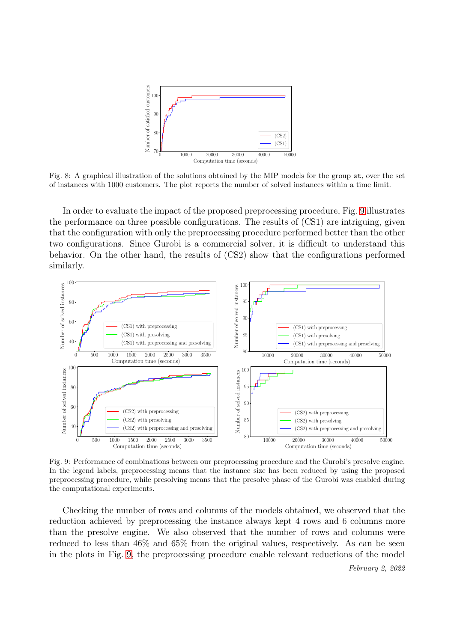<span id="page-14-0"></span>

Fig. 8: A graphical illustration of the solutions obtained by the MIP models for the group st, over the set of instances with 1000 customers. The plot reports the number of solved instances within a time limit.

In order to evaluate the impact of the proposed preprocessing procedure, Fig. [9](#page-14-1) illustrates the performance on three possible configurations. The results of (CS1) are intriguing, given that the configuration with only the preprocessing procedure performed better than the other two configurations. Since Gurobi is a commercial solver, it is difficult to understand this behavior. On the other hand, the results of (CS2) show that the configurations performed similarly.

<span id="page-14-1"></span>

Fig. 9: Performance of combinations between our preprocessing procedure and the Gurobi's presolve engine. In the legend labels, preprocessing means that the instance size has been reduced by using the proposed preprocessing procedure, while presolving means that the presolve phase of the Gurobi was enabled during the computational experiments.

Checking the number of rows and columns of the models obtained, we observed that the reduction achieved by preprocessing the instance always kept 4 rows and 6 columns more than the presolve engine. We also observed that the number of rows and columns were reduced to less than 46% and 65% from the original values, respectively. As can be seen in the plots in Fig. [9,](#page-14-1) the preprocessing procedure enable relevant reductions of the model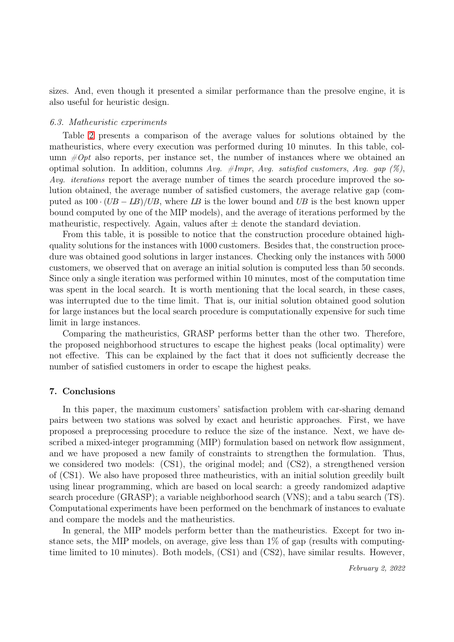sizes. And, even though it presented a similar performance than the presolve engine, it is also useful for heuristic design.

#### *6.3. Matheuristic experiments*

Table [2](#page-16-0) presents a comparison of the average values for solutions obtained by the matheuristics, where every execution was performed during 10 minutes. In this table, column  $\#Opt$  also reports, per instance set, the number of instances where we obtained an optimal solution. In addition, columns Avg.  $\#Impr$ , Avg. satisfied customers, Avg. gap (%), Avg. *iterations* report the average number of times the search procedure improved the solution obtained, the average number of satisfied customers, the average relative gap (computed as  $100 \cdot (UB - LB)/UB$ , where LB is the lower bound and UB is the best known upper bound computed by one of the MIP models), and the average of iterations performed by the matheuristic, respectively. Again, values after  $\pm$  denote the standard deviation.

From this table, it is possible to notice that the construction procedure obtained highquality solutions for the instances with 1000 customers. Besides that, the construction procedure was obtained good solutions in larger instances. Checking only the instances with 5000 customers, we observed that on average an initial solution is computed less than 50 seconds. Since only a single iteration was performed within 10 minutes, most of the computation time was spent in the local search. It is worth mentioning that the local search, in these cases, was interrupted due to the time limit. That is, our initial solution obtained good solution for large instances but the local search procedure is computationally expensive for such time limit in large instances.

Comparing the matheuristics, GRASP performs better than the other two. Therefore, the proposed neighborhood structures to escape the highest peaks (local optimality) were not effective. This can be explained by the fact that it does not sufficiently decrease the number of satisfied customers in order to escape the highest peaks.

#### <span id="page-15-0"></span>7. Conclusions

In this paper, the maximum customers' satisfaction problem with car-sharing demand pairs between two stations was solved by exact and heuristic approaches. First, we have proposed a preprocessing procedure to reduce the size of the instance. Next, we have described a mixed-integer programming (MIP) formulation based on network flow assignment, and we have proposed a new family of constraints to strengthen the formulation. Thus, we considered two models: (CS1), the original model; and (CS2), a strengthened version of (CS1). We also have proposed three matheuristics, with an initial solution greedily built using linear programming, which are based on local search: a greedy randomized adaptive search procedure (GRASP); a variable neighborhood search (VNS); and a tabu search (TS). Computational experiments have been performed on the benchmark of instances to evaluate and compare the models and the matheuristics.

In general, the MIP models perform better than the matheuristics. Except for two instance sets, the MIP models, on average, give less than 1% of gap (results with computingtime limited to 10 minutes). Both models, (CS1) and (CS2), have similar results. However,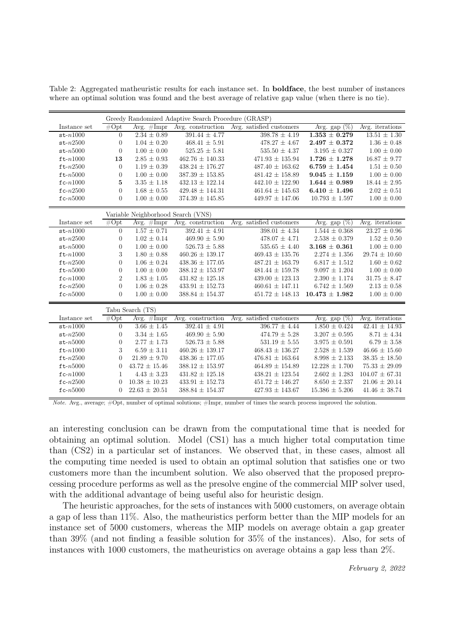<span id="page-16-0"></span>Table 2: Aggregated matheuristic results for each instance set. In boldface, the best number of instances where an optimal solution was found and the best average of relative gap value (when there is no tie).

|                                    | Greedy Randomized Adaptive Search Procedure (GRASP) |                      |                       |                          |                    |                    |
|------------------------------------|-----------------------------------------------------|----------------------|-----------------------|--------------------------|--------------------|--------------------|
| Instance set                       | #Opt                                                | Avg. $\#\text{Impr}$ | Avg. construction     | Avg. satisfied customers | Avg. gap $(\%)$    | Avg. iterations    |
| $st-n1000$                         | 0                                                   | $2.34 \pm 0.89$      | $391.44 \pm 4.77$     | $398.78 \pm 4.19$        | $1.353 \pm 0.279$  | $13.51 \pm 1.30$   |
| $st-n2500$                         | $\boldsymbol{0}$                                    | $1.04 \pm 0.20$      | $468.41 \pm 5.91$     | $478.27 \pm 4.67$        | $2.497 \pm 0.372$  | $1.36 \pm 0.48$    |
| $st-n5000$                         | $\overline{0}$                                      | $1.00 \pm 0.00$      | $525.25 \pm 5.81$     | $535.50 \pm 4.37$        | $3.195 \pm 0.327$  | $1.00 \pm 0.00$    |
| $ft-n1000$                         | 13                                                  | $2.85 \pm 0.93$      | $462.76 \pm 140.33$   | $471.93 \pm 135.94$      | $1.726 \pm 1.278$  | $16.87 \pm 9.77$   |
| $ft-n2500$                         | $\overline{0}$                                      | $1.19 \pm 0.39$      | $438.24 \pm 176.27$   | $487.40 \pm 163.62$      | $6.759 \pm 1.454$  | $1.51 \pm 0.50$    |
| $ft-n5000$                         | $\overline{0}$                                      | $1.00 \pm 0.00$      | $387.39 \pm 153.85$   | $481.42 \pm 158.89$      | $9.045 \pm 1.159$  | $1.00 \pm 0.00$    |
| $fc-n1000$                         | 5                                                   | $3.35 \pm 1.18$      | $432.13 \pm 122.14$   | $442.10 \,\pm\, 122.90$  | $1.644 \pm 0.989$  | $18.44 \pm 2.95$   |
| $fc-n2500$                         | $\overline{0}$                                      | $1.68 \pm 0.55$      | $429.48 \pm 144.31$   | $461.64 \pm 145.63$      | $6.410 \pm 1.496$  | $2.02 \pm 0.51$    |
| $fc-n5000$                         | $\overline{0}$                                      | $1.00 \pm 0.00$      | $374.39 \pm 145.85$   | $449.97 \pm 147.06$      | $10.793 \pm 1.597$ | $1.00 \pm 0.00$    |
| Variable Neighborhood Search (VNS) |                                                     |                      |                       |                          |                    |                    |
| Instance set                       | #Opt                                                | Avg. $#Impr$         | Avg. construction     | Avg. satisfied customers | Avg. gap $(\%)$    | Avg. iterations    |
| $st-n1000$                         | $\overline{0}$                                      | $1.57 \pm 0.71$      | $392.41 \pm 4.91$     | $398.01 \pm 4.34$        | $1.544 \pm 0.368$  | $23.27 \pm 0.96$   |
| $st-n2500$                         | 0                                                   | $1.02 \pm 0.14$      | $469.90 \pm 5.90$     | $478.07 \pm 4.71$        | $2.538 \pm 0.379$  | $1.52 \pm 0.50$    |
| $st-n5000$                         | 0                                                   | $1.00 \pm 0.00$      | $526.73 \pm 5.88$     | $535.65 \pm 4.40$        | $3.168 \pm 0.361$  | $1.00 \pm 0.00$    |
| $ft-1000$                          | 3                                                   | $1.80 \pm 0.88$      | $460.26 \pm 139.17$   | $469.43 \pm 135.76$      | $2.274 \pm 1.356$  | $29.74 \pm 10.60$  |
| $ft-n2500$                         | $\overline{0}$                                      | $1.06 \pm 0.24$      | $438.36 \pm 177.05$   | $487.21 \pm 163.79$      | $6.817 \pm 1.512$  | $1.60 \pm 0.62$    |
| $ft-n5000$                         | $\overline{0}$                                      | $1.00 \pm 0.00$      | $388.12 \pm 153.97$   | $481.44 \pm 159.78$      | $9.097 \pm 1.204$  | $1.00 \pm 0.00$    |
| $fc-n1000$                         | $\overline{2}$                                      | $1.83 \pm 1.05$      | $431.82 \pm 125.18$   | $439.00 \pm 123.13$      | $2.390 \pm 1.174$  | $31.75 \pm 8.47$   |
| $fc-n2500$                         | $\overline{0}$                                      | $1.06 \pm 0.28$      | $433.91 \pm 152.73$   | $460.61 \pm 147.11$      | $6.742 \pm 1.569$  | $2.13 \pm 0.58$    |
| $fc-n5000$                         | $\overline{0}$                                      | $1.00 \pm 0.00$      | $388.84 \pm 154.37$   | $451.72 \pm 148.13$      | $10.473 \pm 1.982$ | $1.00 \pm 0.00$    |
| Tabu Search (TS)                   |                                                     |                      |                       |                          |                    |                    |
| Instance set                       | #Opt                                                | Avg. $\#\text{Impr}$ | Avg. construction     | Avg. satisfied customers | Avg. gap $(\%)$    | Avg. iterations    |
| $st-n1000$                         | $\overline{0}$                                      | $3.66 \pm 1.45$      | $392.41 \pm 4.91$     | $396.77 \pm 4.44$        | $1.850 \pm 0.424$  | $42.41 \pm 14.93$  |
| $st-n2500$                         | 0                                                   | $3.34 \pm 1.65$      | $469.90 \pm 5.90$     | $474.79 \pm 5.28$        | $3.207 \pm 0.595$  | $8.71 \pm 4.34$    |
| $st-n5000$                         | $\overline{0}$                                      | $2.77\,\pm\,1.73$    | $526.73 \pm 5.88$     | $531.19 \pm 5.55$        | $3.975 \pm 0.591$  | $6.79 \pm 3.58$    |
| $ft-n1000$                         | 3                                                   | $6.59 \pm 3.11$      | $460.26\,\pm\,139.17$ | $468.43 \pm 136.27$      | $2.528 \pm 1.539$  | $46.66 \pm 15.60$  |
| $ft-n2500$                         | $\overline{0}$                                      | $21.89 \pm 9.70$     | $438.36 \pm 177.05$   | $476.81 \pm 163.64$      | $8.998 \pm 2.133$  | $38.35 \pm 18.50$  |
| $ft-n5000$                         | $\overline{0}$                                      | $43.72 \pm 15.46$    | $388.12 \pm 153.97$   | $464.89 \pm 154.89$      | $12.228 \pm 1.700$ | $75.33 \pm 29.09$  |
| $fc-n1000$                         | 1                                                   | $4.43 \pm 3.23$      | $431.82 \pm 125.18$   | $438.21 \pm 123.54$      | $2.602 \pm 1.283$  | $104.07 \pm 67.31$ |
| $\verb fc  - n2500$                | $\theta$                                            | $10.38 \pm 10.23$    | $433.91 \pm 152.73$   | $451.72 \pm 146.27$      | $8.650 \pm 2.337$  | $21.06 \pm 20.14$  |
| $fc-n5000$                         | $\overline{0}$                                      | $22.63 \pm 20.51$    | $388.84 \pm 154.37$   | $427.93 \pm 143.67$      | $15.386 \pm 5.206$ | $41.46 \pm 38.74$  |

Note. Avg., average; #Opt, number of optimal solutions; #Impr, number of times the search process improved the solution.

an interesting conclusion can be drawn from the computational time that is needed for obtaining an optimal solution. Model (CS1) has a much higher total computation time than (CS2) in a particular set of instances. We observed that, in these cases, almost all the computing time needed is used to obtain an optimal solution that satisfies one or two customers more than the incumbent solution. We also observed that the proposed preprocessing procedure performs as well as the presolve engine of the commercial MIP solver used, with the additional advantage of being useful also for heuristic design.

The heuristic approaches, for the sets of instances with 5000 customers, on average obtain a gap of less than 11%. Also, the matheuristics perform better than the MIP models for an instance set of 5000 customers, whereas the MIP models on average obtain a gap greater than 39% (and not finding a feasible solution for 35% of the instances). Also, for sets of instances with 1000 customers, the matheuristics on average obtains a gap less than 2%.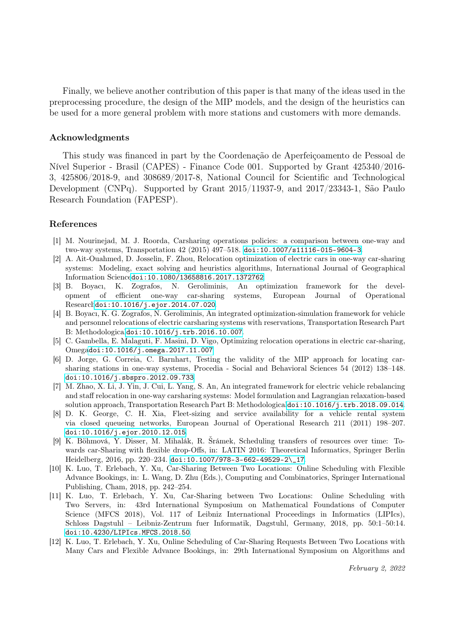Finally, we believe another contribution of this paper is that many of the ideas used in the preprocessing procedure, the design of the MIP models, and the design of the heuristics can be used for a more general problem with more stations and customers with more demands.

#### Acknowledgments

This study was financed in part by the Coordenação de Aperfeiçoamento de Pessoal de Nível Superior - Brasil (CAPES) - Finance Code 001. Supported by Grant 425340/2016- 3, 425806/2018-9, and 308689/2017-8, National Council for Scientific and Technological Development (CNPq). Supported by Grant 2015/11937-9, and 2017/23343-1, São Paulo Research Foundation (FAPESP).

#### References

- <span id="page-17-0"></span>[1] M. Nourinejad, M. J. Roorda, Carsharing operations policies: a comparison between one-way and two-way systems, Transportation 42 (2015) 497–518. [doi:10.1007/s11116-015-9604-3](http://dx.doi.org/10.1007/s11116-015-9604-3).
- <span id="page-17-1"></span>[2] A. Ait-Ouahmed, D. Josselin, F. Zhou, Relocation optimization of electric cars in one-way car-sharing systems: Modeling, exact solving and heuristics algorithms, International Journal of Geographical Information Science[doi:10.1080/13658816.2017.1372762](http://dx.doi.org/10.1080/13658816.2017.1372762).
- <span id="page-17-2"></span>[3] B. Boyacı, K. Zografos, N. Geroliminis, An optimization framework for the development of efficient one-way car-sharing systems, European Journal of Operational Research[doi:10.1016/j.ejor.2014.07.020](http://dx.doi.org/10.1016/j.ejor.2014.07.020).
- <span id="page-17-3"></span>[4] B. Boyacı, K. G. Zografos, N. Geroliminis, An integrated optimization-simulation framework for vehicle and personnel relocations of electric carsharing systems with reservations, Transportation Research Part B: Methodological[doi:10.1016/j.trb.2016.10.007](http://dx.doi.org/10.1016/j.trb.2016.10.007).
- <span id="page-17-4"></span>[5] C. Gambella, E. Malaguti, F. Masini, D. Vigo, Optimizing relocation operations in electric car-sharing, Omega[doi:10.1016/j.omega.2017.11.007](http://dx.doi.org/10.1016/j.omega.2017.11.007).
- <span id="page-17-5"></span>[6] D. Jorge, G. Correia, C. Barnhart, Testing the validity of the MIP approach for locating carsharing stations in one-way systems, Procedia - Social and Behavioral Sciences 54 (2012) 138–148. [doi:10.1016/j.sbspro.2012.09.733](http://dx.doi.org/10.1016/j.sbspro.2012.09.733).
- <span id="page-17-6"></span>[7] M. Zhao, X. Li, J. Yin, J. Cui, L. Yang, S. An, An integrated framework for electric vehicle rebalancing and staff relocation in one-way carsharing systems: Model formulation and Lagrangian relaxation-based solution approach, Transportation Research Part B: Methodological[doi:10.1016/j.trb.2018.09.014](http://dx.doi.org/10.1016/j.trb.2018.09.014).
- <span id="page-17-7"></span>[8] D. K. George, C. H. Xia, Fleet-sizing and service availability for a vehicle rental system via closed queueing networks, European Journal of Operational Research 211 (2011) 198–207. [doi:10.1016/j.ejor.2010.12.015](http://dx.doi.org/10.1016/j.ejor.2010.12.015).
- <span id="page-17-8"></span>[9] K. Böhmová, Y. Disser, M. Mihalák, R. Šrámek, Scheduling transfers of resources over time: Towards car-Sharing with flexible drop-Offs, in: LATIN 2016: Theoretical Informatics, Springer Berlin Heidelberg, 2016, pp. 220–234. [doi:10.1007/978-3-662-49529-2\\\_17](http://dx.doi.org/10.1007/978-3-662-49529-2_17).
- <span id="page-17-9"></span>[10] K. Luo, T. Erlebach, Y. Xu, Car-Sharing Between Two Locations: Online Scheduling with Flexible Advance Bookings, in: L. Wang, D. Zhu (Eds.), Computing and Combinatorics, Springer International Publishing, Cham, 2018, pp. 242–254.
- [11] K. Luo, T. Erlebach, Y. Xu, Car-Sharing between Two Locations: Online Scheduling with Two Servers, in: 43rd International Symposium on Mathematical Foundations of Computer Science (MFCS 2018), Vol. 117 of Leibniz International Proceedings in Informatics (LIPIcs), Schloss Dagstuhl – Leibniz-Zentrum fuer Informatik, Dagstuhl, Germany, 2018, pp. 50:1–50:14. [doi:10.4230/LIPIcs.MFCS.2018.50](http://dx.doi.org/10.4230/LIPIcs.MFCS.2018.50).
- <span id="page-17-10"></span>[12] K. Luo, T. Erlebach, Y. Xu, Online Scheduling of Car-Sharing Requests Between Two Locations with Many Cars and Flexible Advance Bookings, in: 29th International Symposium on Algorithms and